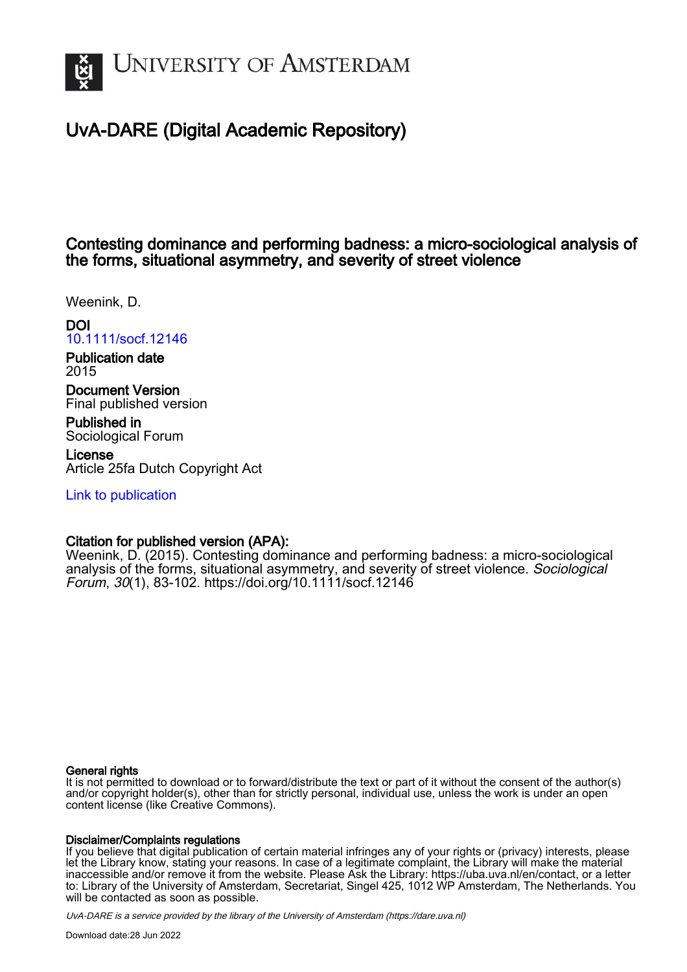

# UvA-DARE (Digital Academic Repository)

# Contesting dominance and performing badness: a micro-sociological analysis of the forms, situational asymmetry, and severity of street violence

Weenink, D.

DOI [10.1111/socf.12146](https://doi.org/10.1111/socf.12146)

Publication date 2015

Document Version Final published version

Published in Sociological Forum

License Article 25fa Dutch Copyright Act

[Link to publication](https://dare.uva.nl/personal/pure/en/publications/contesting-dominance-and-performing-badness-a-microsociological-analysis-of-the-forms-situational-asymmetry-and-severity-of-street-violence(9d45f11d-32e6-44f4-93c0-c85cebb66088).html)

# Citation for published version (APA):

Weenink, D. (2015). Contesting dominance and performing badness: a micro-sociological analysis of the forms, situational asymmetry, and severity of street violence. Sociological Forum, 30(1), 83-102. <https://doi.org/10.1111/socf.12146>

## General rights

It is not permitted to download or to forward/distribute the text or part of it without the consent of the author(s) and/or copyright holder(s), other than for strictly personal, individual use, unless the work is under an open content license (like Creative Commons).

## Disclaimer/Complaints regulations

If you believe that digital publication of certain material infringes any of your rights or (privacy) interests, please let the Library know, stating your reasons. In case of a legitimate complaint, the Library will make the material inaccessible and/or remove it from the website. Please Ask the Library: https://uba.uva.nl/en/contact, or a letter to: Library of the University of Amsterdam, Secretariat, Singel 425, 1012 WP Amsterdam, The Netherlands. You will be contacted as soon as possible.

UvA-DARE is a service provided by the library of the University of Amsterdam (http*s*://dare.uva.nl)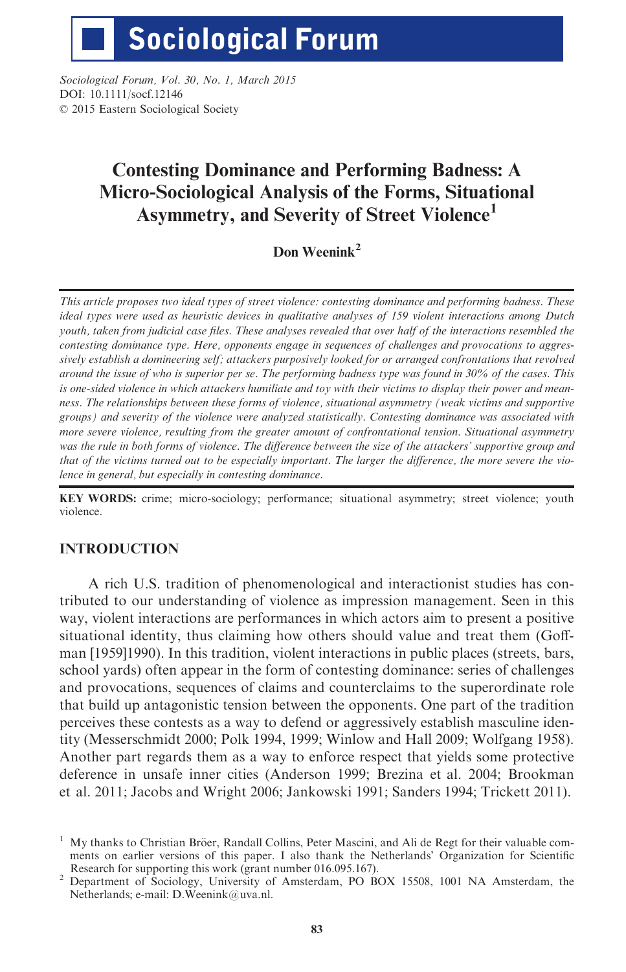# **Sociological Forum**

Sociological Forum, Vol. 30, No. 1, March 2015 DOI: 10.1111/socf.12146 © 2015 Eastern Sociological Society

# Contesting Dominance and Performing Badness: A Micro-Sociological Analysis of the Forms, Situational Asymmetry, and Severity of Street Violence<sup>1</sup>

# Don Weenink<sup>2</sup>

This article proposes two ideal types of street violence: contesting dominance and performing badness. These ideal types were used as heuristic devices in qualitative analyses of 159 violent interactions among Dutch youth, taken from judicial case files. These analyses revealed that over half of the interactions resembled the contesting dominance type. Here, opponents engage in sequences of challenges and provocations to aggressively establish a domineering self; attackers purposively looked for or arranged confrontations that revolved around the issue of who is superior per se. The performing badness type was found in 30% of the cases. This is one-sided violence in which attackers humiliate and toy with their victims to display their power and meanness. The relationships between these forms of violence, situational asymmetry (weak victims and supportive groups) and severity of the violence were analyzed statistically. Contesting dominance was associated with more severe violence, resulting from the greater amount of confrontational tension. Situational asymmetry was the rule in both forms of violence. The difference between the size of the attackers' supportive group and that of the victims turned out to be especially important. The larger the difference, the more severe the violence in general, but especially in contesting dominance.

KEY WORDS: crime; micro-sociology; performance; situational asymmetry; street violence; youth violence.

## INTRODUCTION

A rich U.S. tradition of phenomenological and interactionist studies has contributed to our understanding of violence as impression management. Seen in this way, violent interactions are performances in which actors aim to present a positive situational identity, thus claiming how others should value and treat them (Goffman [1959]1990). In this tradition, violent interactions in public places (streets, bars, school yards) often appear in the form of contesting dominance: series of challenges and provocations, sequences of claims and counterclaims to the superordinate role that build up antagonistic tension between the opponents. One part of the tradition perceives these contests as a way to defend or aggressively establish masculine identity (Messerschmidt 2000; Polk 1994, 1999; Winlow and Hall 2009; Wolfgang 1958). Another part regards them as a way to enforce respect that yields some protective deference in unsafe inner cities (Anderson 1999; Brezina et al. 2004; Brookman et al. 2011; Jacobs and Wright 2006; Jankowski 1991; Sanders 1994; Trickett 2011).

 $1$  My thanks to Christian Bröer, Randall Collins, Peter Mascini, and Ali de Regt for their valuable comments on earlier versions of this paper. I also thank the Netherlands' Organization for Scientific Research for supporting this work (grant number 016.095.167).

<sup>&</sup>lt;sup>2</sup> Department of Sociology, University of Amsterdam, PO BOX 15508, 1001 NA Amsterdam, the Netherlands; e-mail: D.Weenink@uva.nl.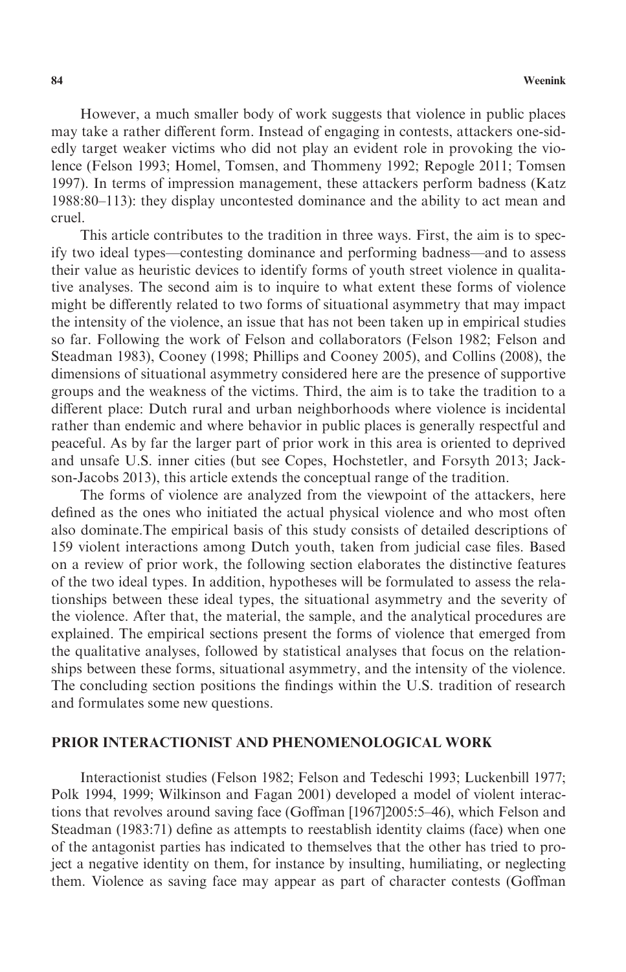However, a much smaller body of work suggests that violence in public places may take a rather different form. Instead of engaging in contests, attackers one-sidedly target weaker victims who did not play an evident role in provoking the violence (Felson 1993; Homel, Tomsen, and Thommeny 1992; Repogle 2011; Tomsen 1997). In terms of impression management, these attackers perform badness (Katz 1988:80–113): they display uncontested dominance and the ability to act mean and cruel.

This article contributes to the tradition in three ways. First, the aim is to specify two ideal types—contesting dominance and performing badness—and to assess their value as heuristic devices to identify forms of youth street violence in qualitative analyses. The second aim is to inquire to what extent these forms of violence might be differently related to two forms of situational asymmetry that may impact the intensity of the violence, an issue that has not been taken up in empirical studies so far. Following the work of Felson and collaborators (Felson 1982; Felson and Steadman 1983), Cooney (1998; Phillips and Cooney 2005), and Collins (2008), the dimensions of situational asymmetry considered here are the presence of supportive groups and the weakness of the victims. Third, the aim is to take the tradition to a different place: Dutch rural and urban neighborhoods where violence is incidental rather than endemic and where behavior in public places is generally respectful and peaceful. As by far the larger part of prior work in this area is oriented to deprived and unsafe U.S. inner cities (but see Copes, Hochstetler, and Forsyth 2013; Jackson-Jacobs 2013), this article extends the conceptual range of the tradition.

The forms of violence are analyzed from the viewpoint of the attackers, here defined as the ones who initiated the actual physical violence and who most often also dominate.The empirical basis of this study consists of detailed descriptions of 159 violent interactions among Dutch youth, taken from judicial case files. Based on a review of prior work, the following section elaborates the distinctive features of the two ideal types. In addition, hypotheses will be formulated to assess the relationships between these ideal types, the situational asymmetry and the severity of the violence. After that, the material, the sample, and the analytical procedures are explained. The empirical sections present the forms of violence that emerged from the qualitative analyses, followed by statistical analyses that focus on the relationships between these forms, situational asymmetry, and the intensity of the violence. The concluding section positions the findings within the U.S. tradition of research and formulates some new questions.

#### PRIOR INTERACTIONIST AND PHENOMENOLOGICAL WORK

Interactionist studies (Felson 1982; Felson and Tedeschi 1993; Luckenbill 1977; Polk 1994, 1999; Wilkinson and Fagan 2001) developed a model of violent interactions that revolves around saving face (Goffman [1967]2005:5–46), which Felson and Steadman (1983:71) define as attempts to reestablish identity claims (face) when one of the antagonist parties has indicated to themselves that the other has tried to project a negative identity on them, for instance by insulting, humiliating, or neglecting them. Violence as saving face may appear as part of character contests (Goffman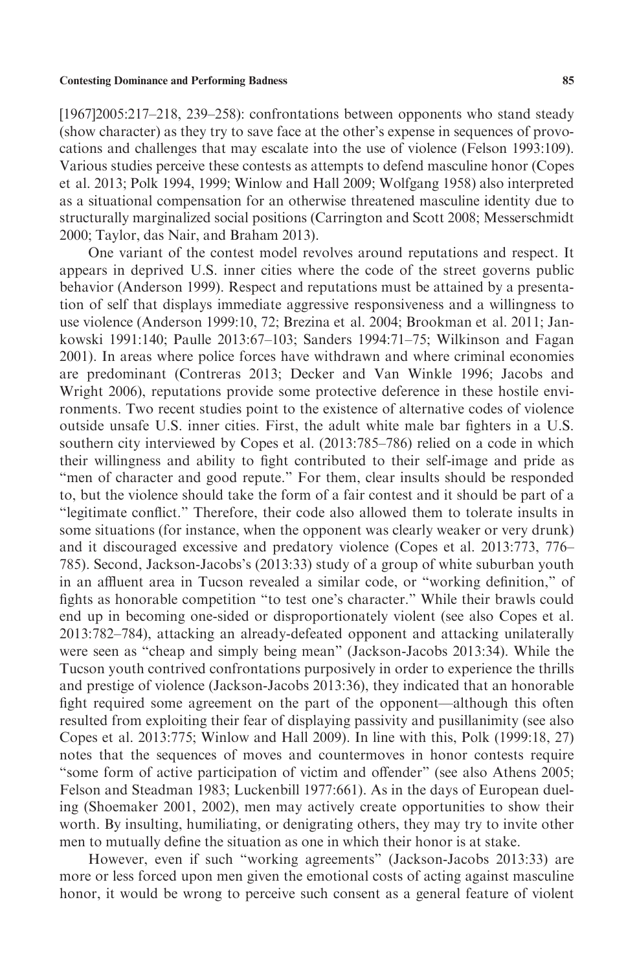[1967]2005:217–218, 239–258): confrontations between opponents who stand steady (show character) as they try to save face at the other's expense in sequences of provocations and challenges that may escalate into the use of violence (Felson 1993:109). Various studies perceive these contests as attempts to defend masculine honor (Copes et al. 2013; Polk 1994, 1999; Winlow and Hall 2009; Wolfgang 1958) also interpreted as a situational compensation for an otherwise threatened masculine identity due to structurally marginalized social positions (Carrington and Scott 2008; Messerschmidt 2000; Taylor, das Nair, and Braham 2013).

One variant of the contest model revolves around reputations and respect. It appears in deprived U.S. inner cities where the code of the street governs public behavior (Anderson 1999). Respect and reputations must be attained by a presentation of self that displays immediate aggressive responsiveness and a willingness to use violence (Anderson 1999:10, 72; Brezina et al. 2004; Brookman et al. 2011; Jankowski 1991:140; Paulle 2013:67–103; Sanders 1994:71–75; Wilkinson and Fagan 2001). In areas where police forces have withdrawn and where criminal economies are predominant (Contreras 2013; Decker and Van Winkle 1996; Jacobs and Wright 2006), reputations provide some protective deference in these hostile environments. Two recent studies point to the existence of alternative codes of violence outside unsafe U.S. inner cities. First, the adult white male bar fighters in a U.S. southern city interviewed by Copes et al. (2013:785–786) relied on a code in which their willingness and ability to fight contributed to their self-image and pride as "men of character and good repute." For them, clear insults should be responded to, but the violence should take the form of a fair contest and it should be part of a "legitimate conflict." Therefore, their code also allowed them to tolerate insults in some situations (for instance, when the opponent was clearly weaker or very drunk) and it discouraged excessive and predatory violence (Copes et al. 2013:773, 776– 785). Second, Jackson-Jacobs's (2013:33) study of a group of white suburban youth in an affluent area in Tucson revealed a similar code, or "working definition," of fights as honorable competition "to test one's character." While their brawls could end up in becoming one-sided or disproportionately violent (see also Copes et al. 2013:782–784), attacking an already-defeated opponent and attacking unilaterally were seen as "cheap and simply being mean" (Jackson-Jacobs 2013:34). While the Tucson youth contrived confrontations purposively in order to experience the thrills and prestige of violence (Jackson-Jacobs 2013:36), they indicated that an honorable fight required some agreement on the part of the opponent—although this often resulted from exploiting their fear of displaying passivity and pusillanimity (see also Copes et al. 2013:775; Winlow and Hall 2009). In line with this, Polk (1999:18, 27) notes that the sequences of moves and countermoves in honor contests require "some form of active participation of victim and offender" (see also Athens 2005; Felson and Steadman 1983; Luckenbill 1977:661). As in the days of European dueling (Shoemaker 2001, 2002), men may actively create opportunities to show their worth. By insulting, humiliating, or denigrating others, they may try to invite other men to mutually define the situation as one in which their honor is at stake.

However, even if such "working agreements" (Jackson-Jacobs 2013:33) are more or less forced upon men given the emotional costs of acting against masculine honor, it would be wrong to perceive such consent as a general feature of violent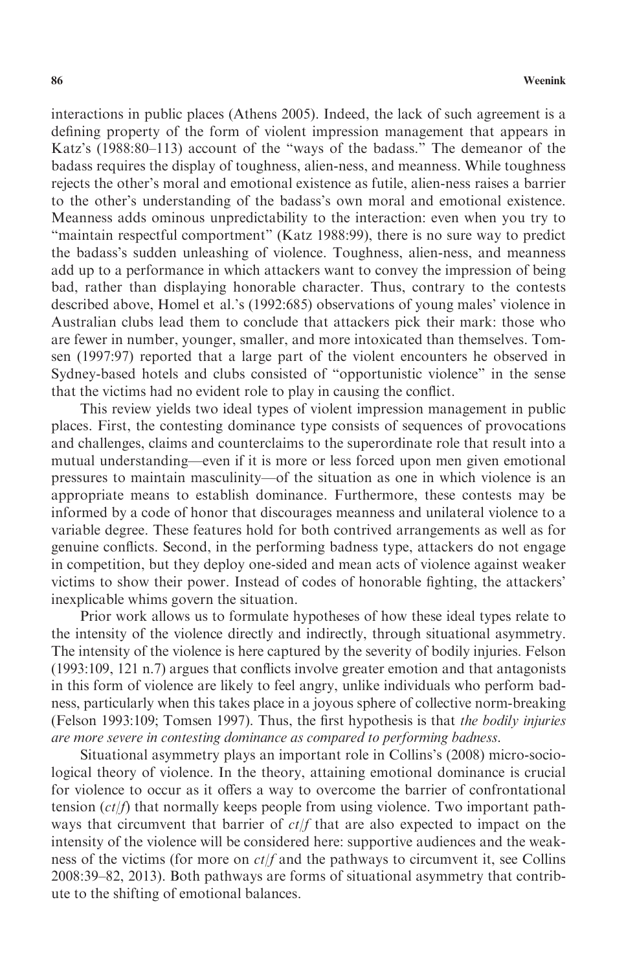interactions in public places (Athens 2005). Indeed, the lack of such agreement is a defining property of the form of violent impression management that appears in Katz's (1988:80–113) account of the "ways of the badass." The demeanor of the badass requires the display of toughness, alien-ness, and meanness. While toughness rejects the other's moral and emotional existence as futile, alien-ness raises a barrier to the other's understanding of the badass's own moral and emotional existence. Meanness adds ominous unpredictability to the interaction: even when you try to "maintain respectful comportment" (Katz 1988:99), there is no sure way to predict the badass's sudden unleashing of violence. Toughness, alien-ness, and meanness add up to a performance in which attackers want to convey the impression of being bad, rather than displaying honorable character. Thus, contrary to the contests described above, Homel et al.'s (1992:685) observations of young males' violence in Australian clubs lead them to conclude that attackers pick their mark: those who are fewer in number, younger, smaller, and more intoxicated than themselves. Tomsen (1997:97) reported that a large part of the violent encounters he observed in Sydney-based hotels and clubs consisted of "opportunistic violence" in the sense that the victims had no evident role to play in causing the conflict.

This review yields two ideal types of violent impression management in public places. First, the contesting dominance type consists of sequences of provocations and challenges, claims and counterclaims to the superordinate role that result into a mutual understanding—even if it is more or less forced upon men given emotional pressures to maintain masculinity—of the situation as one in which violence is an appropriate means to establish dominance. Furthermore, these contests may be informed by a code of honor that discourages meanness and unilateral violence to a variable degree. These features hold for both contrived arrangements as well as for genuine conflicts. Second, in the performing badness type, attackers do not engage in competition, but they deploy one-sided and mean acts of violence against weaker victims to show their power. Instead of codes of honorable fighting, the attackers' inexplicable whims govern the situation.

Prior work allows us to formulate hypotheses of how these ideal types relate to the intensity of the violence directly and indirectly, through situational asymmetry. The intensity of the violence is here captured by the severity of bodily injuries. Felson (1993:109, 121 n.7) argues that conflicts involve greater emotion and that antagonists in this form of violence are likely to feel angry, unlike individuals who perform badness, particularly when this takes place in a joyous sphere of collective norm-breaking (Felson 1993:109; Tomsen 1997). Thus, the first hypothesis is that the bodily injuries are more severe in contesting dominance as compared to performing badness.

Situational asymmetry plays an important role in Collins's (2008) micro-sociological theory of violence. In the theory, attaining emotional dominance is crucial for violence to occur as it offers a way to overcome the barrier of confrontational tension  $(ct/f)$  that normally keeps people from using violence. Two important pathways that circumvent that barrier of  $ct/f$  that are also expected to impact on the intensity of the violence will be considered here: supportive audiences and the weakness of the victims (for more on  $ct/f$  and the pathways to circumvent it, see Collins 2008:39–82, 2013). Both pathways are forms of situational asymmetry that contribute to the shifting of emotional balances.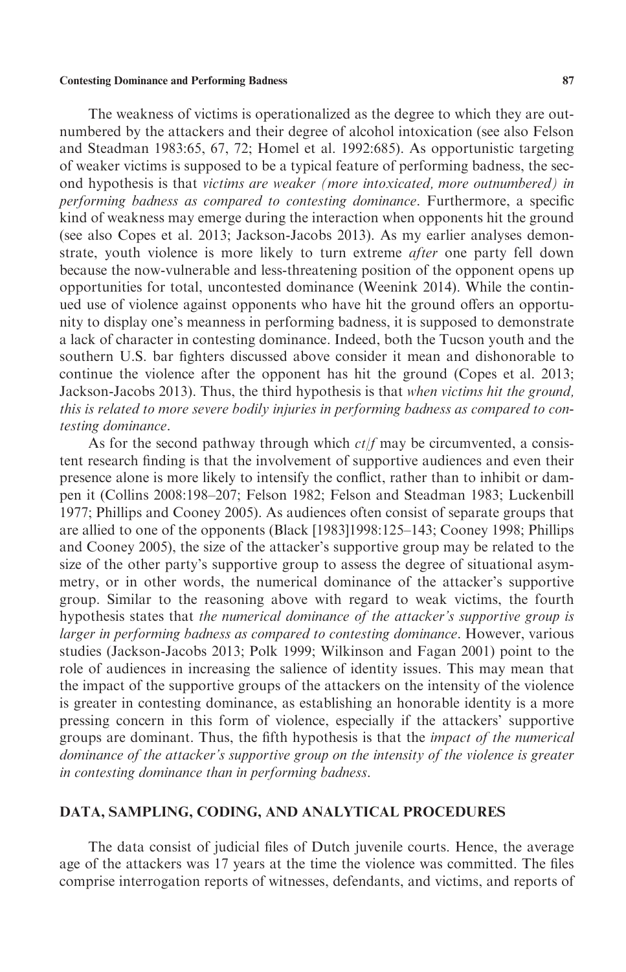The weakness of victims is operationalized as the degree to which they are outnumbered by the attackers and their degree of alcohol intoxication (see also Felson and Steadman 1983:65, 67, 72; Homel et al. 1992:685). As opportunistic targeting of weaker victims is supposed to be a typical feature of performing badness, the second hypothesis is that victims are weaker (more intoxicated, more outnumbered) in performing badness as compared to contesting dominance. Furthermore, a specific kind of weakness may emerge during the interaction when opponents hit the ground (see also Copes et al. 2013; Jackson-Jacobs 2013). As my earlier analyses demonstrate, youth violence is more likely to turn extreme after one party fell down because the now-vulnerable and less-threatening position of the opponent opens up opportunities for total, uncontested dominance (Weenink 2014). While the continued use of violence against opponents who have hit the ground offers an opportunity to display one's meanness in performing badness, it is supposed to demonstrate a lack of character in contesting dominance. Indeed, both the Tucson youth and the southern U.S. bar fighters discussed above consider it mean and dishonorable to continue the violence after the opponent has hit the ground (Copes et al. 2013; Jackson-Jacobs 2013). Thus, the third hypothesis is that when victims hit the ground, this is related to more severe bodily injuries in performing badness as compared to contesting dominance.

As for the second pathway through which  $ct/f$  may be circumvented, a consistent research finding is that the involvement of supportive audiences and even their presence alone is more likely to intensify the conflict, rather than to inhibit or dampen it (Collins 2008:198–207; Felson 1982; Felson and Steadman 1983; Luckenbill 1977; Phillips and Cooney 2005). As audiences often consist of separate groups that are allied to one of the opponents (Black [1983]1998:125–143; Cooney 1998; Phillips and Cooney 2005), the size of the attacker's supportive group may be related to the size of the other party's supportive group to assess the degree of situational asymmetry, or in other words, the numerical dominance of the attacker's supportive group. Similar to the reasoning above with regard to weak victims, the fourth hypothesis states that the numerical dominance of the attacker's supportive group is larger in performing badness as compared to contesting dominance. However, various studies (Jackson-Jacobs 2013; Polk 1999; Wilkinson and Fagan 2001) point to the role of audiences in increasing the salience of identity issues. This may mean that the impact of the supportive groups of the attackers on the intensity of the violence is greater in contesting dominance, as establishing an honorable identity is a more pressing concern in this form of violence, especially if the attackers' supportive groups are dominant. Thus, the fifth hypothesis is that the impact of the numerical dominance of the attacker's supportive group on the intensity of the violence is greater in contesting dominance than in performing badness.

### DATA, SAMPLING, CODING, AND ANALYTICAL PROCEDURES

The data consist of judicial files of Dutch juvenile courts. Hence, the average age of the attackers was 17 years at the time the violence was committed. The files comprise interrogation reports of witnesses, defendants, and victims, and reports of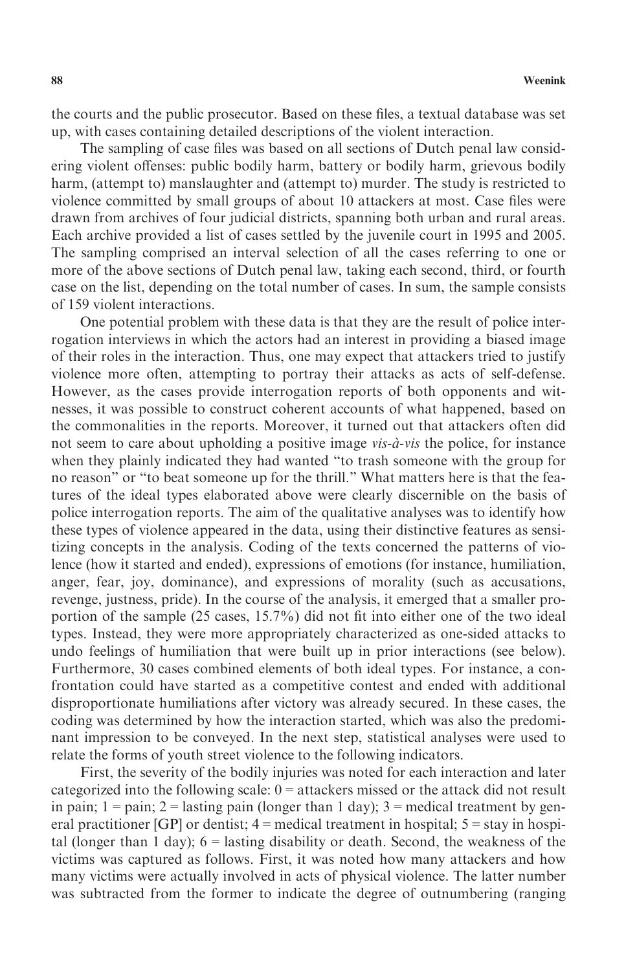the courts and the public prosecutor. Based on these files, a textual database was set up, with cases containing detailed descriptions of the violent interaction.

The sampling of case files was based on all sections of Dutch penal law considering violent offenses: public bodily harm, battery or bodily harm, grievous bodily harm, (attempt to) manslaughter and (attempt to) murder. The study is restricted to violence committed by small groups of about 10 attackers at most. Case files were drawn from archives of four judicial districts, spanning both urban and rural areas. Each archive provided a list of cases settled by the juvenile court in 1995 and 2005. The sampling comprised an interval selection of all the cases referring to one or more of the above sections of Dutch penal law, taking each second, third, or fourth case on the list, depending on the total number of cases. In sum, the sample consists of 159 violent interactions.

One potential problem with these data is that they are the result of police interrogation interviews in which the actors had an interest in providing a biased image of their roles in the interaction. Thus, one may expect that attackers tried to justify violence more often, attempting to portray their attacks as acts of self-defense. However, as the cases provide interrogation reports of both opponents and witnesses, it was possible to construct coherent accounts of what happened, based on the commonalities in the reports. Moreover, it turned out that attackers often did not seem to care about upholding a positive image  $vis-\hat{a}-vis$  the police, for instance when they plainly indicated they had wanted "to trash someone with the group for no reason" or "to beat someone up for the thrill." What matters here is that the features of the ideal types elaborated above were clearly discernible on the basis of police interrogation reports. The aim of the qualitative analyses was to identify how these types of violence appeared in the data, using their distinctive features as sensitizing concepts in the analysis. Coding of the texts concerned the patterns of violence (how it started and ended), expressions of emotions (for instance, humiliation, anger, fear, joy, dominance), and expressions of morality (such as accusations, revenge, justness, pride). In the course of the analysis, it emerged that a smaller proportion of the sample (25 cases, 15.7%) did not fit into either one of the two ideal types. Instead, they were more appropriately characterized as one-sided attacks to undo feelings of humiliation that were built up in prior interactions (see below). Furthermore, 30 cases combined elements of both ideal types. For instance, a confrontation could have started as a competitive contest and ended with additional disproportionate humiliations after victory was already secured. In these cases, the coding was determined by how the interaction started, which was also the predominant impression to be conveyed. In the next step, statistical analyses were used to relate the forms of youth street violence to the following indicators.

First, the severity of the bodily injuries was noted for each interaction and later categorized into the following scale: 0 = attackers missed or the attack did not result in pain;  $1 = \text{pain}$ ;  $2 = \text{lasting pain}$  (longer than 1 day);  $3 = \text{ medical treatment by gen-}$ eral practitioner [GP] or dentist;  $4 =$  medical treatment in hospital;  $5 =$  stay in hospital (longer than 1 day);  $6 =$  lasting disability or death. Second, the weakness of the victims was captured as follows. First, it was noted how many attackers and how many victims were actually involved in acts of physical violence. The latter number was subtracted from the former to indicate the degree of outnumbering (ranging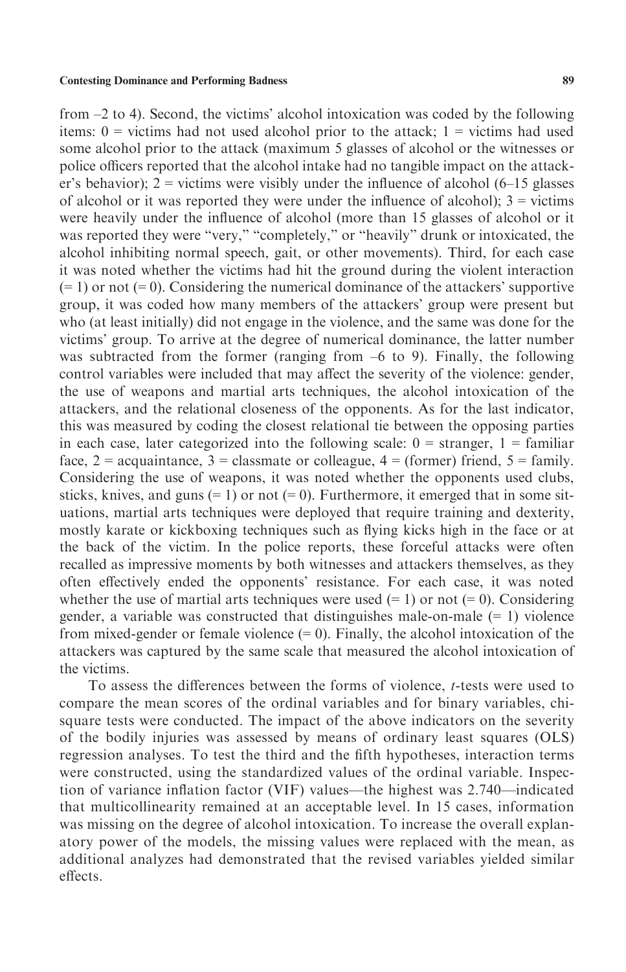from –2 to 4). Second, the victims' alcohol intoxication was coded by the following items:  $0 =$  victims had not used alcohol prior to the attack;  $1 =$  victims had used some alcohol prior to the attack (maximum 5 glasses of alcohol or the witnesses or police officers reported that the alcohol intake had no tangible impact on the attacker's behavior); 2 = victims were visibly under the influence of alcohol  $(6-15)$  glasses of alcohol or it was reported they were under the influence of alcohol);  $3 = \text{victims}$ were heavily under the influence of alcohol (more than 15 glasses of alcohol or it was reported they were "very," "completely," or "heavily" drunk or intoxicated, the alcohol inhibiting normal speech, gait, or other movements). Third, for each case it was noted whether the victims had hit the ground during the violent interaction  $(= 1)$  or not  $(= 0)$ . Considering the numerical dominance of the attackers' supportive group, it was coded how many members of the attackers' group were present but who (at least initially) did not engage in the violence, and the same was done for the victims' group. To arrive at the degree of numerical dominance, the latter number was subtracted from the former (ranging from –6 to 9). Finally, the following control variables were included that may affect the severity of the violence: gender, the use of weapons and martial arts techniques, the alcohol intoxication of the attackers, and the relational closeness of the opponents. As for the last indicator, this was measured by coding the closest relational tie between the opposing parties in each case, later categorized into the following scale:  $0 =$  stranger,  $1 =$  familiar face,  $2 = \text{acquaintance}, 3 = \text{classmate or colleague}, 4 = (\text{former}) \text{ friend}, 5 = \text{family}.$ Considering the use of weapons, it was noted whether the opponents used clubs, sticks, knives, and guns  $(= 1)$  or not  $(= 0)$ . Furthermore, it emerged that in some situations, martial arts techniques were deployed that require training and dexterity, mostly karate or kickboxing techniques such as flying kicks high in the face or at the back of the victim. In the police reports, these forceful attacks were often recalled as impressive moments by both witnesses and attackers themselves, as they often effectively ended the opponents' resistance. For each case, it was noted whether the use of martial arts techniques were used  $(= 1)$  or not  $(= 0)$ . Considering gender, a variable was constructed that distinguishes male-on-male  $(= 1)$  violence from mixed-gender or female violence  $(= 0)$ . Finally, the alcohol intoxication of the attackers was captured by the same scale that measured the alcohol intoxication of the victims.

To assess the differences between the forms of violence, t-tests were used to compare the mean scores of the ordinal variables and for binary variables, chisquare tests were conducted. The impact of the above indicators on the severity of the bodily injuries was assessed by means of ordinary least squares (OLS) regression analyses. To test the third and the fifth hypotheses, interaction terms were constructed, using the standardized values of the ordinal variable. Inspection of variance inflation factor (VIF) values—the highest was 2.740—indicated that multicollinearity remained at an acceptable level. In 15 cases, information was missing on the degree of alcohol intoxication. To increase the overall explanatory power of the models, the missing values were replaced with the mean, as additional analyzes had demonstrated that the revised variables yielded similar effects.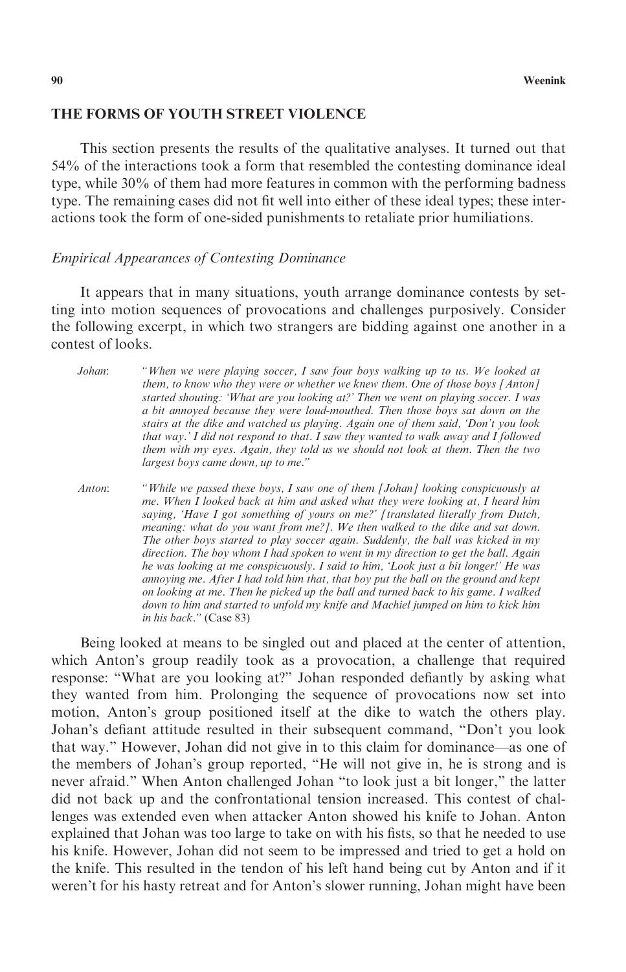#### THE FORMS OF VOLITH STREET VIOLENCE

This section presents the results of the qualitative analyses. It turned out that 54% of the interactions took a form that resembled the contesting dominance ideal type, while 30% of them had more features in common with the performing badness type. The remaining cases did not fit well into either of these ideal types; these interactions took the form of one-sided punishments to retaliate prior humiliations.

#### Empirical Appearances of Contesting Dominance

It appears that in many situations, youth arrange dominance contests by setting into motion sequences of provocations and challenges purposively. Consider the following excerpt, in which two strangers are bidding against one another in a contest of looks.

Johan: "When we were playing soccer, I saw four boys walking up to us. We looked at them, to know who they were or whether we knew them. One of those boys [Anton] started shouting: 'What are you looking at?' Then we went on playing soccer. I was a bit annoyed because they were loud-mouthed. Then those boys sat down on the stairs at the dike and watched us playing. Again one of them said, 'Don't you look that way.' I did not respond to that. I saw they wanted to walk away and I followed them with my eyes. Again, they told us we should not look at them. Then the two largest boys came down, up to me."

Anton: "While we passed these boys, I saw one of them [Johan] looking conspicuously at me. When I looked back at him and asked what they were looking at, I heard him saying, 'Have I got something of yours on me?' [translated literally from Dutch, meaning: what do you want from me?]. We then walked to the dike and sat down. The other boys started to play soccer again. Suddenly, the ball was kicked in my direction. The boy whom I had spoken to went in my direction to get the ball. Again he was looking at me conspicuously. I said to him, 'Look just a bit longer!' He was annoying me. After I had told him that, that boy put the ball on the ground and kept on looking at me. Then he picked up the ball and turned back to his game. I walked down to him and started to unfold my knife and Machiel jumped on him to kick him in his back." (Case 83)

Being looked at means to be singled out and placed at the center of attention, which Anton's group readily took as a provocation, a challenge that required response: "What are you looking at?" Johan responded defiantly by asking what they wanted from him. Prolonging the sequence of provocations now set into motion, Anton's group positioned itself at the dike to watch the others play. Johan's defiant attitude resulted in their subsequent command, "Don't you look that way." However, Johan did not give in to this claim for dominance—as one of the members of Johan's group reported, "He will not give in, he is strong and is never afraid." When Anton challenged Johan "to look just a bit longer," the latter did not back up and the confrontational tension increased. This contest of challenges was extended even when attacker Anton showed his knife to Johan. Anton explained that Johan was too large to take on with his fists, so that he needed to use his knife. However, Johan did not seem to be impressed and tried to get a hold on the knife. This resulted in the tendon of his left hand being cut by Anton and if it weren't for his hasty retreat and for Anton's slower running, Johan might have been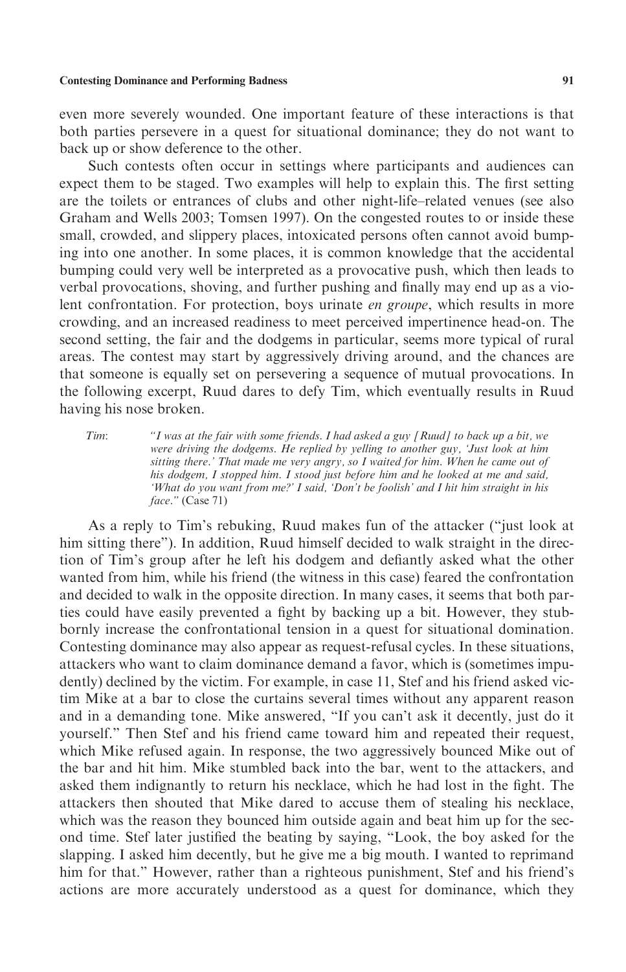even more severely wounded. One important feature of these interactions is that both parties persevere in a quest for situational dominance; they do not want to back up or show deference to the other.

Such contests often occur in settings where participants and audiences can expect them to be staged. Two examples will help to explain this. The first setting are the toilets or entrances of clubs and other night-life–related venues (see also Graham and Wells 2003; Tomsen 1997). On the congested routes to or inside these small, crowded, and slippery places, intoxicated persons often cannot avoid bumping into one another. In some places, it is common knowledge that the accidental bumping could very well be interpreted as a provocative push, which then leads to verbal provocations, shoving, and further pushing and finally may end up as a violent confrontation. For protection, boys urinate *en groupe*, which results in more crowding, and an increased readiness to meet perceived impertinence head-on. The second setting, the fair and the dodgems in particular, seems more typical of rural areas. The contest may start by aggressively driving around, and the chances are that someone is equally set on persevering a sequence of mutual provocations. In the following excerpt, Ruud dares to defy Tim, which eventually results in Ruud having his nose broken.

Tim: "I was at the fair with some friends. I had asked a guy [Ruud] to back up a bit, we were driving the dodgems. He replied by yelling to another guy, 'Just look at him sitting there.' That made me very angry, so I waited for him. When he came out of his dodgem, I stopped him. I stood just before him and he looked at me and said, 'What do you want from me?' I said, 'Don't be foolish' and I hit him straight in his face." (Case 71)

As a reply to Tim's rebuking, Ruud makes fun of the attacker ("just look at him sitting there"). In addition, Ruud himself decided to walk straight in the direction of Tim's group after he left his dodgem and defiantly asked what the other wanted from him, while his friend (the witness in this case) feared the confrontation and decided to walk in the opposite direction. In many cases, it seems that both parties could have easily prevented a fight by backing up a bit. However, they stubbornly increase the confrontational tension in a quest for situational domination. Contesting dominance may also appear as request-refusal cycles. In these situations, attackers who want to claim dominance demand a favor, which is (sometimes impudently) declined by the victim. For example, in case 11, Stef and his friend asked victim Mike at a bar to close the curtains several times without any apparent reason and in a demanding tone. Mike answered, "If you can't ask it decently, just do it yourself." Then Stef and his friend came toward him and repeated their request, which Mike refused again. In response, the two aggressively bounced Mike out of the bar and hit him. Mike stumbled back into the bar, went to the attackers, and asked them indignantly to return his necklace, which he had lost in the fight. The attackers then shouted that Mike dared to accuse them of stealing his necklace, which was the reason they bounced him outside again and beat him up for the second time. Stef later justified the beating by saying, "Look, the boy asked for the slapping. I asked him decently, but he give me a big mouth. I wanted to reprimand him for that." However, rather than a righteous punishment, Stef and his friend's actions are more accurately understood as a quest for dominance, which they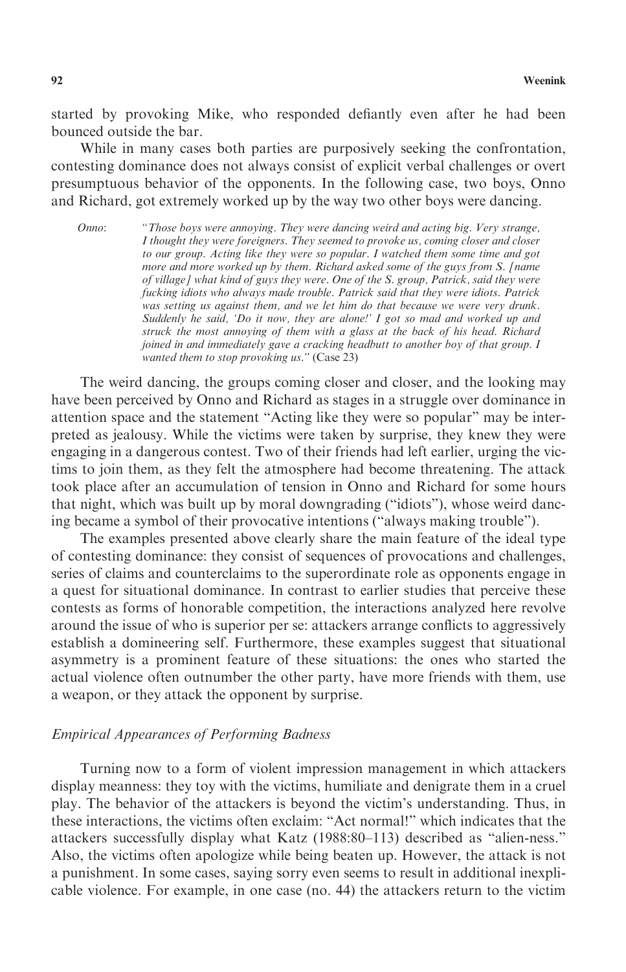started by provoking Mike, who responded defiantly even after he had been bounced outside the bar.

While in many cases both parties are purposively seeking the confrontation, contesting dominance does not always consist of explicit verbal challenges or overt presumptuous behavior of the opponents. In the following case, two boys, Onno and Richard, got extremely worked up by the way two other boys were dancing.

Onno: "Those boys were annoying. They were dancing weird and acting big. Very strange, I thought they were foreigners. They seemed to provoke us, coming closer and closer to our group. Acting like they were so popular. I watched them some time and got more and more worked up by them. Richard asked some of the guys from S. [name of village] what kind of guys they were. One of the S. group, Patrick, said they were fucking idiots who always made trouble. Patrick said that they were idiots. Patrick was setting us against them, and we let him do that because we were very drunk. Suddenly he said, 'Do it now, they are alone!' I got so mad and worked up and struck the most annoying of them with a glass at the back of his head. Richard joined in and immediately gave a cracking headbutt to another boy of that group. I wanted them to stop provoking us." (Case 23)

The weird dancing, the groups coming closer and closer, and the looking may have been perceived by Onno and Richard as stages in a struggle over dominance in attention space and the statement "Acting like they were so popular" may be interpreted as jealousy. While the victims were taken by surprise, they knew they were engaging in a dangerous contest. Two of their friends had left earlier, urging the victims to join them, as they felt the atmosphere had become threatening. The attack took place after an accumulation of tension in Onno and Richard for some hours that night, which was built up by moral downgrading ("idiots"), whose weird dancing became a symbol of their provocative intentions ("always making trouble").

The examples presented above clearly share the main feature of the ideal type of contesting dominance: they consist of sequences of provocations and challenges, series of claims and counterclaims to the superordinate role as opponents engage in a quest for situational dominance. In contrast to earlier studies that perceive these contests as forms of honorable competition, the interactions analyzed here revolve around the issue of who is superior per se: attackers arrange conflicts to aggressively establish a domineering self. Furthermore, these examples suggest that situational asymmetry is a prominent feature of these situations: the ones who started the actual violence often outnumber the other party, have more friends with them, use a weapon, or they attack the opponent by surprise.

#### Empirical Appearances of Performing Badness

Turning now to a form of violent impression management in which attackers display meanness: they toy with the victims, humiliate and denigrate them in a cruel play. The behavior of the attackers is beyond the victim's understanding. Thus, in these interactions, the victims often exclaim: "Act normal!" which indicates that the attackers successfully display what Katz (1988:80–113) described as "alien-ness." Also, the victims often apologize while being beaten up. However, the attack is not a punishment. In some cases, saying sorry even seems to result in additional inexplicable violence. For example, in one case (no. 44) the attackers return to the victim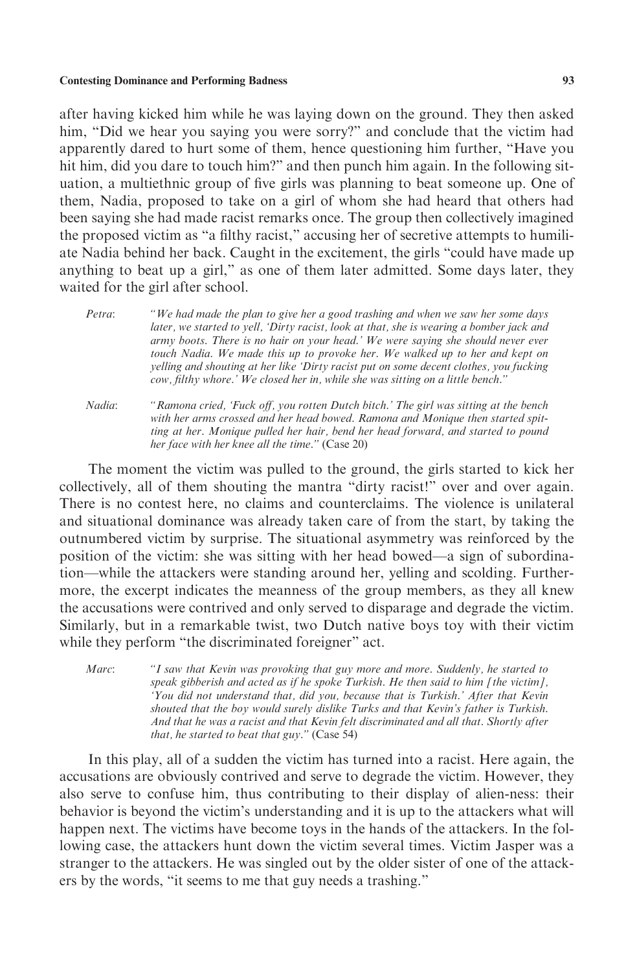after having kicked him while he was laying down on the ground. They then asked him, "Did we hear you saying you were sorry?" and conclude that the victim had apparently dared to hurt some of them, hence questioning him further, "Have you hit him, did you dare to touch him?" and then punch him again. In the following situation, a multiethnic group of five girls was planning to beat someone up. One of them, Nadia, proposed to take on a girl of whom she had heard that others had been saying she had made racist remarks once. The group then collectively imagined the proposed victim as "a filthy racist," accusing her of secretive attempts to humiliate Nadia behind her back. Caught in the excitement, the girls "could have made up anything to beat up a girl," as one of them later admitted. Some days later, they waited for the girl after school.

Nadia: "Ramona cried, 'Fuck off, you rotten Dutch bitch.' The girl was sitting at the bench with her arms crossed and her head bowed. Ramona and Monique then started spitting at her. Monique pulled her hair, bend her head forward, and started to pound her face with her knee all the time." (Case 20)

The moment the victim was pulled to the ground, the girls started to kick her collectively, all of them shouting the mantra "dirty racist!" over and over again. There is no contest here, no claims and counterclaims. The violence is unilateral and situational dominance was already taken care of from the start, by taking the outnumbered victim by surprise. The situational asymmetry was reinforced by the position of the victim: she was sitting with her head bowed—a sign of subordination—while the attackers were standing around her, yelling and scolding. Furthermore, the excerpt indicates the meanness of the group members, as they all knew the accusations were contrived and only served to disparage and degrade the victim. Similarly, but in a remarkable twist, two Dutch native boys toy with their victim while they perform "the discriminated foreigner" act.

Marc: "I saw that Kevin was provoking that guy more and more. Suddenly, he started to speak gibberish and acted as if he spoke Turkish. He then said to him [the victim], 'You did not understand that, did you, because that is Turkish.' After that Kevin shouted that the boy would surely dislike Turks and that Kevin's father is Turkish. And that he was a racist and that Kevin felt discriminated and all that. Shortly after that, he started to beat that guy." (Case 54)

In this play, all of a sudden the victim has turned into a racist. Here again, the accusations are obviously contrived and serve to degrade the victim. However, they also serve to confuse him, thus contributing to their display of alien-ness: their behavior is beyond the victim's understanding and it is up to the attackers what will happen next. The victims have become toys in the hands of the attackers. In the following case, the attackers hunt down the victim several times. Victim Jasper was a stranger to the attackers. He was singled out by the older sister of one of the attackers by the words, "it seems to me that guy needs a trashing."

Petra: "We had made the plan to give her a good trashing and when we saw her some days later, we started to yell, 'Dirty racist, look at that, she is wearing a bomber jack and army boots. There is no hair on your head.' We were saying she should never ever touch Nadia. We made this up to provoke her. We walked up to her and kept on yelling and shouting at her like 'Dirty racist put on some decent clothes, you fucking cow, filthy whore.' We closed her in, while she was sitting on a little bench."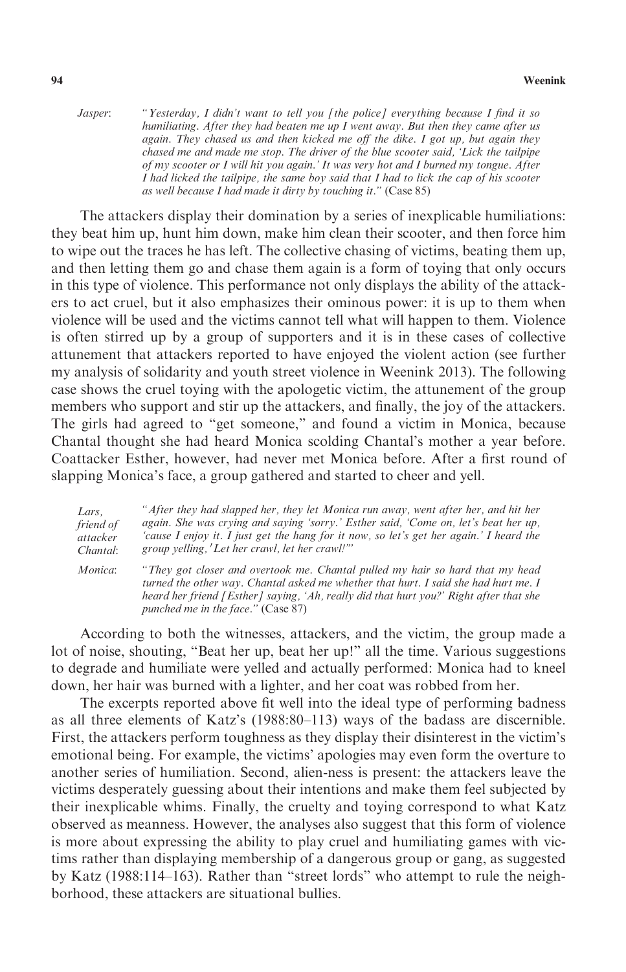94 Weenink

Jasper: "Yesterday, I didn't want to tell you [the police] everything because I find it so humiliating. After they had beaten me up I went away. But then they came after us again. They chased us and then kicked me off the dike. I got up, but again they chased me and made me stop. The driver of the blue scooter said, 'Lick the tailpipe of my scooter or I will hit you again.' It was very hot and I burned my tongue. After I had licked the tailpipe, the same boy said that I had to lick the cap of his scooter as well because I had made it dirty by touching it." (Case 85)

The attackers display their domination by a series of inexplicable humiliations: they beat him up, hunt him down, make him clean their scooter, and then force him to wipe out the traces he has left. The collective chasing of victims, beating them up, and then letting them go and chase them again is a form of toying that only occurs in this type of violence. This performance not only displays the ability of the attackers to act cruel, but it also emphasizes their ominous power: it is up to them when violence will be used and the victims cannot tell what will happen to them. Violence is often stirred up by a group of supporters and it is in these cases of collective attunement that attackers reported to have enjoyed the violent action (see further my analysis of solidarity and youth street violence in Weenink 2013). The following case shows the cruel toying with the apologetic victim, the attunement of the group members who support and stir up the attackers, and finally, the joy of the attackers. The girls had agreed to "get someone," and found a victim in Monica, because Chantal thought she had heard Monica scolding Chantal's mother a year before. Coattacker Esther, however, had never met Monica before. After a first round of slapping Monica's face, a group gathered and started to cheer and yell.

| Lars.     | "After they had slapped her, they let Monica run away, went after her, and hit her                                                                                                                                                                                                                           |
|-----------|--------------------------------------------------------------------------------------------------------------------------------------------------------------------------------------------------------------------------------------------------------------------------------------------------------------|
| friend of | again. She was crying and saying 'sorry.' Esther said, 'Come on, let's beat her up,                                                                                                                                                                                                                          |
| attacker  | 'cause I enjoy it. I just get the hang for it now, so let's get her again.' I heard the                                                                                                                                                                                                                      |
| Chantal:  | group yelling, 'Let her crawl, let her crawl!"                                                                                                                                                                                                                                                               |
| Monica:   | "They got closer and overtook me. Chantal pulled my hair so hard that my head<br>turned the other way. Chantal asked me whether that hurt. I said she had hurt me. I<br>heard her friend [Esther] saying, 'Ah, really did that hurt you?' Right after that she<br><i>punched me in the face.</i> " (Case 87) |

According to both the witnesses, attackers, and the victim, the group made a lot of noise, shouting, "Beat her up, beat her up!" all the time. Various suggestions to degrade and humiliate were yelled and actually performed: Monica had to kneel down, her hair was burned with a lighter, and her coat was robbed from her.

The excerpts reported above fit well into the ideal type of performing badness as all three elements of Katz's (1988:80–113) ways of the badass are discernible. First, the attackers perform toughness as they display their disinterest in the victim's emotional being. For example, the victims' apologies may even form the overture to another series of humiliation. Second, alien-ness is present: the attackers leave the victims desperately guessing about their intentions and make them feel subjected by their inexplicable whims. Finally, the cruelty and toying correspond to what Katz observed as meanness. However, the analyses also suggest that this form of violence is more about expressing the ability to play cruel and humiliating games with victims rather than displaying membership of a dangerous group or gang, as suggested by Katz (1988:114–163). Rather than "street lords" who attempt to rule the neighborhood, these attackers are situational bullies.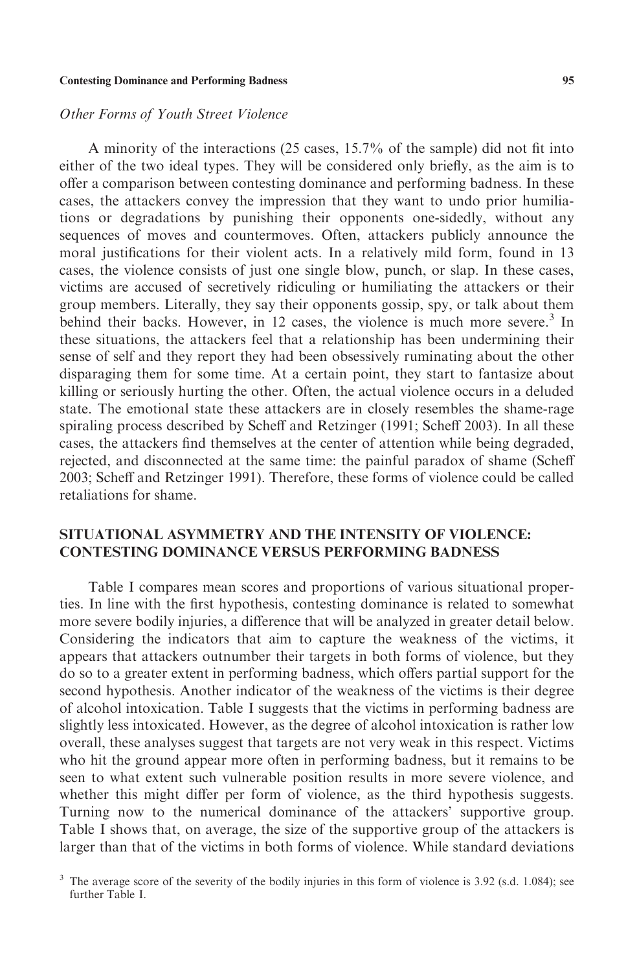#### Other Forms of Youth Street Violence

A minority of the interactions (25 cases, 15.7% of the sample) did not fit into either of the two ideal types. They will be considered only briefly, as the aim is to offer a comparison between contesting dominance and performing badness. In these cases, the attackers convey the impression that they want to undo prior humiliations or degradations by punishing their opponents one-sidedly, without any sequences of moves and countermoves. Often, attackers publicly announce the moral justifications for their violent acts. In a relatively mild form, found in 13 cases, the violence consists of just one single blow, punch, or slap. In these cases, victims are accused of secretively ridiculing or humiliating the attackers or their group members. Literally, they say their opponents gossip, spy, or talk about them behind their backs. However, in 12 cases, the violence is much more severe.<sup>3</sup> In these situations, the attackers feel that a relationship has been undermining their sense of self and they report they had been obsessively ruminating about the other disparaging them for some time. At a certain point, they start to fantasize about killing or seriously hurting the other. Often, the actual violence occurs in a deluded state. The emotional state these attackers are in closely resembles the shame-rage spiraling process described by Scheff and Retzinger (1991; Scheff 2003). In all these cases, the attackers find themselves at the center of attention while being degraded, rejected, and disconnected at the same time: the painful paradox of shame (Scheff 2003; Scheff and Retzinger 1991). Therefore, these forms of violence could be called retaliations for shame.

## SITUATIONAL ASYMMETRY AND THE INTENSITY OF VIOLENCE: CONTESTING DOMINANCE VERSUS PERFORMING BADNESS

Table I compares mean scores and proportions of various situational properties. In line with the first hypothesis, contesting dominance is related to somewhat more severe bodily injuries, a difference that will be analyzed in greater detail below. Considering the indicators that aim to capture the weakness of the victims, it appears that attackers outnumber their targets in both forms of violence, but they do so to a greater extent in performing badness, which offers partial support for the second hypothesis. Another indicator of the weakness of the victims is their degree of alcohol intoxication. Table I suggests that the victims in performing badness are slightly less intoxicated. However, as the degree of alcohol intoxication is rather low overall, these analyses suggest that targets are not very weak in this respect. Victims who hit the ground appear more often in performing badness, but it remains to be seen to what extent such vulnerable position results in more severe violence, and whether this might differ per form of violence, as the third hypothesis suggests. Turning now to the numerical dominance of the attackers' supportive group. Table I shows that, on average, the size of the supportive group of the attackers is larger than that of the victims in both forms of violence. While standard deviations

<sup>&</sup>lt;sup>3</sup> The average score of the severity of the bodily injuries in this form of violence is 3.92 (s.d. 1.084); see further Table I.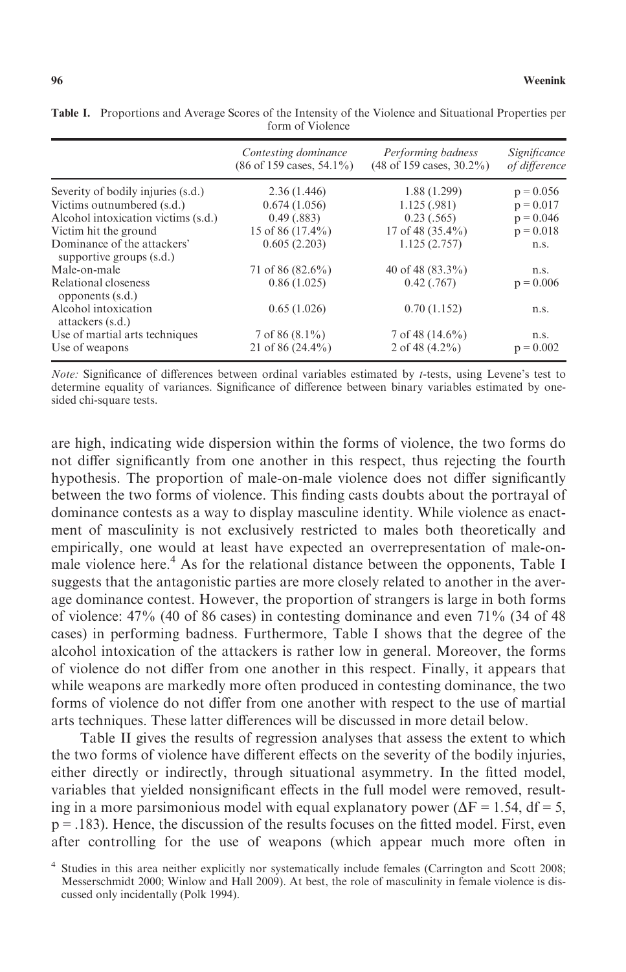|                                                         | Contesting dominance<br>$(86 \text{ of } 159 \text{ cases}, 54.1\%)$ | Performing badness<br>$(48 \text{ of } 159 \text{ cases}, 30.2\%)$ | Significance<br>of difference |
|---------------------------------------------------------|----------------------------------------------------------------------|--------------------------------------------------------------------|-------------------------------|
| Severity of bodily injuries (s.d.)                      | 2.36(1.446)                                                          | 1.88(1.299)                                                        | $p = 0.056$                   |
| Victims outnumbered (s.d.)                              | 0.674(1.056)                                                         | 1.125(.981)                                                        | $p = 0.017$                   |
| Alcohol intoxication victims (s.d.)                     | 0.49(.883)                                                           | 0.23(.565)                                                         | $p = 0.046$                   |
| Victim hit the ground                                   | 15 of 86 $(17.4\%)$                                                  | 17 of 48 $(35.4\%)$                                                | $p = 0.018$                   |
| Dominance of the attackers'<br>supportive groups (s.d.) | 0.605(2.203)                                                         | 1.125(2.757)                                                       | n.s.                          |
| Male-on-male                                            | 71 of 86 $(82.6\%)$                                                  | 40 of 48 $(83.3\%)$                                                | n.s.                          |
| Relational closeness<br>opponents (s.d.)                | 0.86(1.025)                                                          | $0.42$ (.767)                                                      | $p = 0.006$                   |
| Alcohol intoxication<br>attackers (s.d.)                | 0.65(1.026)                                                          | 0.70(1.152)                                                        | n.s.                          |
| Use of martial arts techniques                          | 7 of 86 $(8.1\%)$                                                    | 7 of 48 $(14.6\%)$                                                 | n.s.                          |
| Use of weapons                                          | 21 of 86 $(24.4\%)$                                                  | 2 of 48 $(4.2\%)$                                                  | $p = 0.002$                   |

Table I. Proportions and Average Scores of the Intensity of the Violence and Situational Properties per form of Violence

Note: Significance of differences between ordinal variables estimated by t-tests, using Levene's test to determine equality of variances. Significance of difference between binary variables estimated by onesided chi-square tests.

are high, indicating wide dispersion within the forms of violence, the two forms do not differ significantly from one another in this respect, thus rejecting the fourth hypothesis. The proportion of male-on-male violence does not differ significantly between the two forms of violence. This finding casts doubts about the portrayal of dominance contests as a way to display masculine identity. While violence as enactment of masculinity is not exclusively restricted to males both theoretically and empirically, one would at least have expected an overrepresentation of male-onmale violence here.<sup>4</sup> As for the relational distance between the opponents, Table I suggests that the antagonistic parties are more closely related to another in the average dominance contest. However, the proportion of strangers is large in both forms of violence: 47% (40 of 86 cases) in contesting dominance and even 71% (34 of 48 cases) in performing badness. Furthermore, Table I shows that the degree of the alcohol intoxication of the attackers is rather low in general. Moreover, the forms of violence do not differ from one another in this respect. Finally, it appears that while weapons are markedly more often produced in contesting dominance, the two forms of violence do not differ from one another with respect to the use of martial arts techniques. These latter differences will be discussed in more detail below.

Table II gives the results of regression analyses that assess the extent to which the two forms of violence have different effects on the severity of the bodily injuries, either directly or indirectly, through situational asymmetry. In the fitted model, variables that yielded nonsignificant effects in the full model were removed, resulting in a more parsimonious model with equal explanatory power ( $\Delta F = 1.54$ , df = 5,  $p = .183$ ). Hence, the discussion of the results focuses on the fitted model. First, even after controlling for the use of weapons (which appear much more often in

<sup>4</sup> Studies in this area neither explicitly nor systematically include females (Carrington and Scott 2008; Messerschmidt 2000; Winlow and Hall 2009). At best, the role of masculinity in female violence is discussed only incidentally (Polk 1994).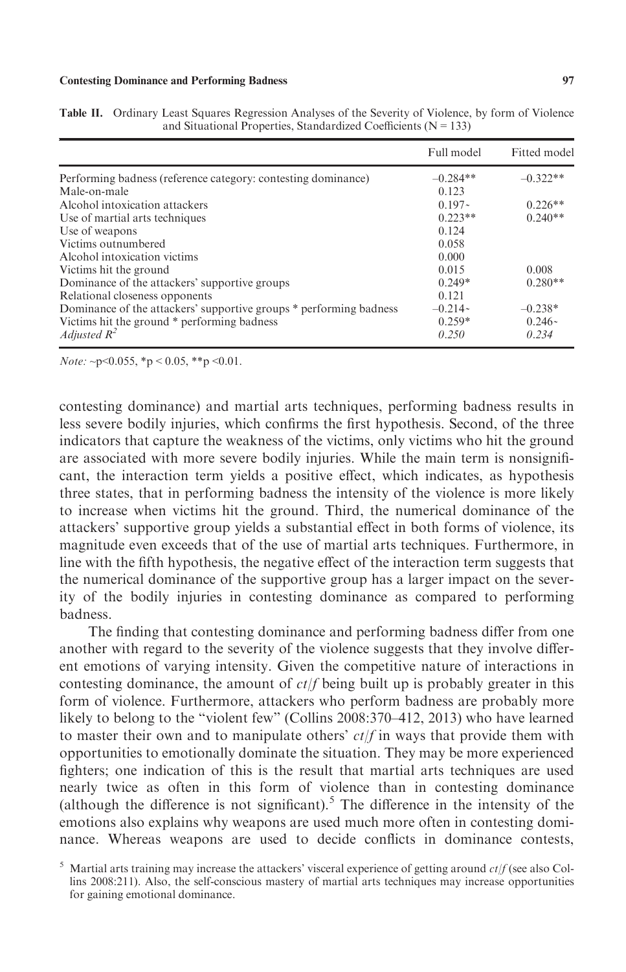|                                                                    | Full model | Fitted model |
|--------------------------------------------------------------------|------------|--------------|
| Performing badness (reference category: contesting dominance)      | $-0.284**$ | $-0.322**$   |
| Male-on-male                                                       | 0.123      |              |
| Alcohol intoxication attackers                                     | $0.197-$   | $0.226**$    |
| Use of martial arts techniques                                     | $0.223**$  | $0.240**$    |
| Use of weapons                                                     | 0.124      |              |
| Victims outnumbered                                                | 0.058      |              |
| Alcohol intoxication victims                                       | 0.000      |              |
| Victims hit the ground                                             | 0.015      | 0.008        |
| Dominance of the attackers' supportive groups                      | $0.249*$   | $0.280**$    |
| Relational closeness opponents                                     | 0.121      |              |
| Dominance of the attackers' supportive groups * performing badness | $-0.214-$  | $-0.238*$    |
| Victims hit the ground * performing badness                        | $0.259*$   | $0.246-$     |
| Adjusted $R^2$                                                     | 0.250      | 0.234        |

| <b>Table II.</b> Ordinary Least Squares Regression Analyses of the Severity of Violence, by form of Violence |
|--------------------------------------------------------------------------------------------------------------|
| and Situational Properties, Standardized Coefficients ( $N = 133$ )                                          |

Note:  $\sim p \le 0.055$ , \*p  $\le 0.05$ , \*\*p  $\le 0.01$ .

contesting dominance) and martial arts techniques, performing badness results in less severe bodily injuries, which confirms the first hypothesis. Second, of the three indicators that capture the weakness of the victims, only victims who hit the ground are associated with more severe bodily injuries. While the main term is nonsignificant, the interaction term yields a positive effect, which indicates, as hypothesis three states, that in performing badness the intensity of the violence is more likely to increase when victims hit the ground. Third, the numerical dominance of the attackers' supportive group yields a substantial effect in both forms of violence, its magnitude even exceeds that of the use of martial arts techniques. Furthermore, in line with the fifth hypothesis, the negative effect of the interaction term suggests that the numerical dominance of the supportive group has a larger impact on the severity of the bodily injuries in contesting dominance as compared to performing badness.

The finding that contesting dominance and performing badness differ from one another with regard to the severity of the violence suggests that they involve different emotions of varying intensity. Given the competitive nature of interactions in contesting dominance, the amount of  $ct/f$  being built up is probably greater in this form of violence. Furthermore, attackers who perform badness are probably more likely to belong to the "violent few" (Collins 2008:370–412, 2013) who have learned to master their own and to manipulate others'  $ct/f$  in ways that provide them with opportunities to emotionally dominate the situation. They may be more experienced fighters; one indication of this is the result that martial arts techniques are used nearly twice as often in this form of violence than in contesting dominance (although the difference is not significant).<sup>5</sup> The difference in the intensity of the emotions also explains why weapons are used much more often in contesting dominance. Whereas weapons are used to decide conflicts in dominance contests,

<sup>&</sup>lt;sup>5</sup> Martial arts training may increase the attackers' visceral experience of getting around  $ct/f$  (see also Collins 2008:211). Also, the self-conscious mastery of martial arts techniques may increase opportunities for gaining emotional dominance.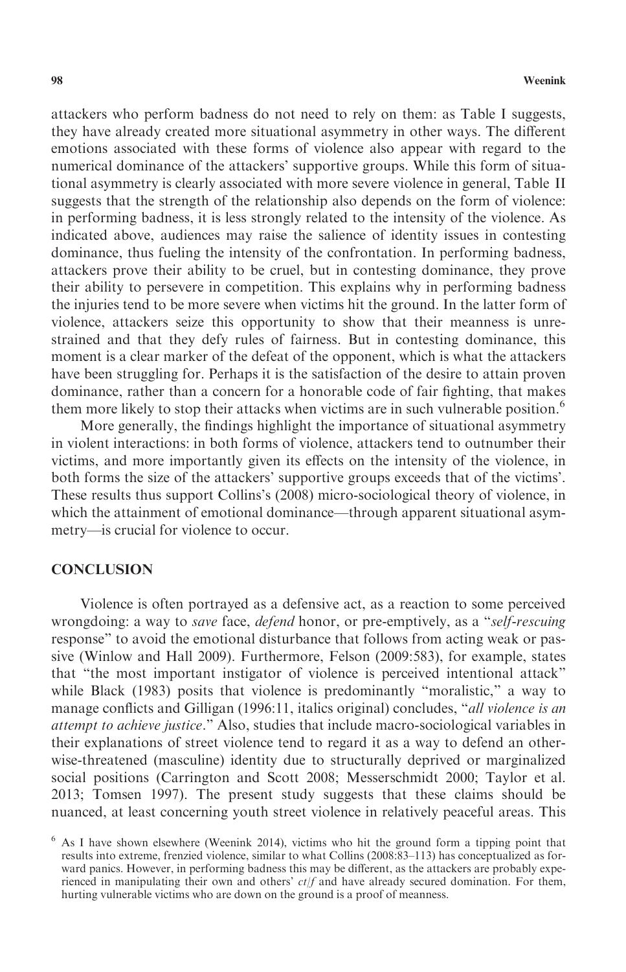attackers who perform badness do not need to rely on them: as Table I suggests, they have already created more situational asymmetry in other ways. The different emotions associated with these forms of violence also appear with regard to the numerical dominance of the attackers' supportive groups. While this form of situational asymmetry is clearly associated with more severe violence in general, Table II suggests that the strength of the relationship also depends on the form of violence: in performing badness, it is less strongly related to the intensity of the violence. As indicated above, audiences may raise the salience of identity issues in contesting dominance, thus fueling the intensity of the confrontation. In performing badness, attackers prove their ability to be cruel, but in contesting dominance, they prove their ability to persevere in competition. This explains why in performing badness the injuries tend to be more severe when victims hit the ground. In the latter form of violence, attackers seize this opportunity to show that their meanness is unrestrained and that they defy rules of fairness. But in contesting dominance, this moment is a clear marker of the defeat of the opponent, which is what the attackers have been struggling for. Perhaps it is the satisfaction of the desire to attain proven dominance, rather than a concern for a honorable code of fair fighting, that makes them more likely to stop their attacks when victims are in such vulnerable position.<sup>6</sup>

More generally, the findings highlight the importance of situational asymmetry in violent interactions: in both forms of violence, attackers tend to outnumber their victims, and more importantly given its effects on the intensity of the violence, in both forms the size of the attackers' supportive groups exceeds that of the victims'. These results thus support Collins's (2008) micro-sociological theory of violence, in which the attainment of emotional dominance—through apparent situational asymmetry—is crucial for violence to occur.

#### **CONCLUSION**

Violence is often portrayed as a defensive act, as a reaction to some perceived wrongdoing: a way to *save* face, *defend* honor, or pre-emptively, as a "self-rescuing" response" to avoid the emotional disturbance that follows from acting weak or passive (Winlow and Hall 2009). Furthermore, Felson (2009:583), for example, states that "the most important instigator of violence is perceived intentional attack" while Black (1983) posits that violence is predominantly "moralistic," a way to manage conflicts and Gilligan (1996:11, italics original) concludes, "*all violence is an* attempt to achieve justice." Also, studies that include macro-sociological variables in their explanations of street violence tend to regard it as a way to defend an otherwise-threatened (masculine) identity due to structurally deprived or marginalized social positions (Carrington and Scott 2008; Messerschmidt 2000; Taylor et al. 2013; Tomsen 1997). The present study suggests that these claims should be nuanced, at least concerning youth street violence in relatively peaceful areas. This

<sup>6</sup> As I have shown elsewhere (Weenink 2014), victims who hit the ground form a tipping point that results into extreme, frenzied violence, similar to what Collins (2008:83–113) has conceptualized as forward panics. However, in performing badness this may be different, as the attackers are probably experienced in manipulating their own and others'  $ct/f$  and have already secured domination. For them, hurting vulnerable victims who are down on the ground is a proof of meanness.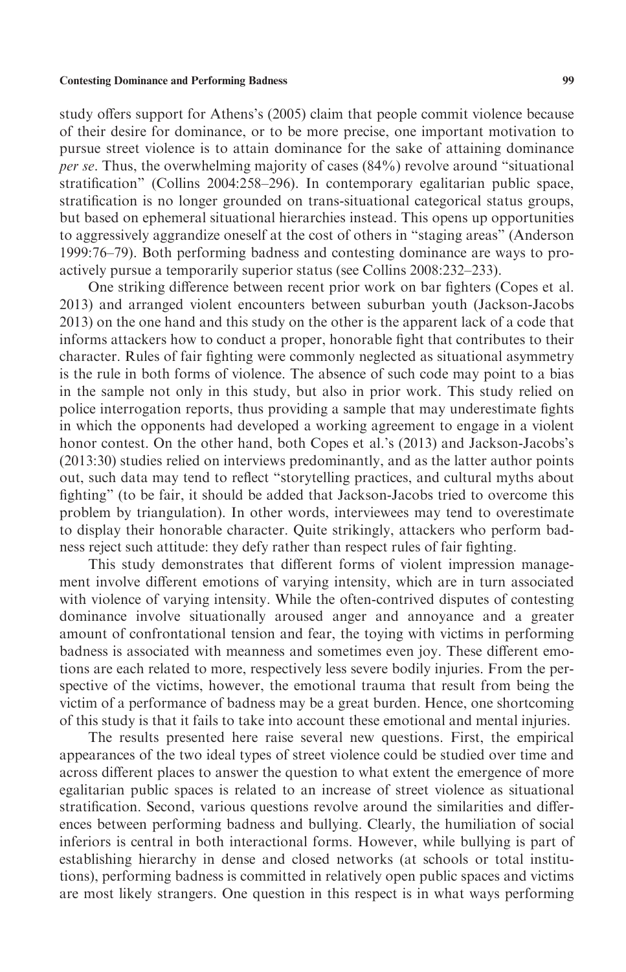study offers support for Athens's (2005) claim that people commit violence because of their desire for dominance, or to be more precise, one important motivation to pursue street violence is to attain dominance for the sake of attaining dominance per se. Thus, the overwhelming majority of cases (84%) revolve around "situational stratification" (Collins 2004:258–296). In contemporary egalitarian public space, stratification is no longer grounded on trans-situational categorical status groups, but based on ephemeral situational hierarchies instead. This opens up opportunities to aggressively aggrandize oneself at the cost of others in "staging areas" (Anderson 1999:76–79). Both performing badness and contesting dominance are ways to proactively pursue a temporarily superior status (see Collins 2008:232–233).

One striking difference between recent prior work on bar fighters (Copes et al. 2013) and arranged violent encounters between suburban youth (Jackson-Jacobs 2013) on the one hand and this study on the other is the apparent lack of a code that informs attackers how to conduct a proper, honorable fight that contributes to their character. Rules of fair fighting were commonly neglected as situational asymmetry is the rule in both forms of violence. The absence of such code may point to a bias in the sample not only in this study, but also in prior work. This study relied on police interrogation reports, thus providing a sample that may underestimate fights in which the opponents had developed a working agreement to engage in a violent honor contest. On the other hand, both Copes et al.'s (2013) and Jackson-Jacobs's (2013:30) studies relied on interviews predominantly, and as the latter author points out, such data may tend to reflect "storytelling practices, and cultural myths about fighting" (to be fair, it should be added that Jackson-Jacobs tried to overcome this problem by triangulation). In other words, interviewees may tend to overestimate to display their honorable character. Quite strikingly, attackers who perform badness reject such attitude: they defy rather than respect rules of fair fighting.

This study demonstrates that different forms of violent impression management involve different emotions of varying intensity, which are in turn associated with violence of varying intensity. While the often-contrived disputes of contesting dominance involve situationally aroused anger and annoyance and a greater amount of confrontational tension and fear, the toying with victims in performing badness is associated with meanness and sometimes even joy. These different emotions are each related to more, respectively less severe bodily injuries. From the perspective of the victims, however, the emotional trauma that result from being the victim of a performance of badness may be a great burden. Hence, one shortcoming of this study is that it fails to take into account these emotional and mental injuries.

The results presented here raise several new questions. First, the empirical appearances of the two ideal types of street violence could be studied over time and across different places to answer the question to what extent the emergence of more egalitarian public spaces is related to an increase of street violence as situational stratification. Second, various questions revolve around the similarities and differences between performing badness and bullying. Clearly, the humiliation of social inferiors is central in both interactional forms. However, while bullying is part of establishing hierarchy in dense and closed networks (at schools or total institutions), performing badness is committed in relatively open public spaces and victims are most likely strangers. One question in this respect is in what ways performing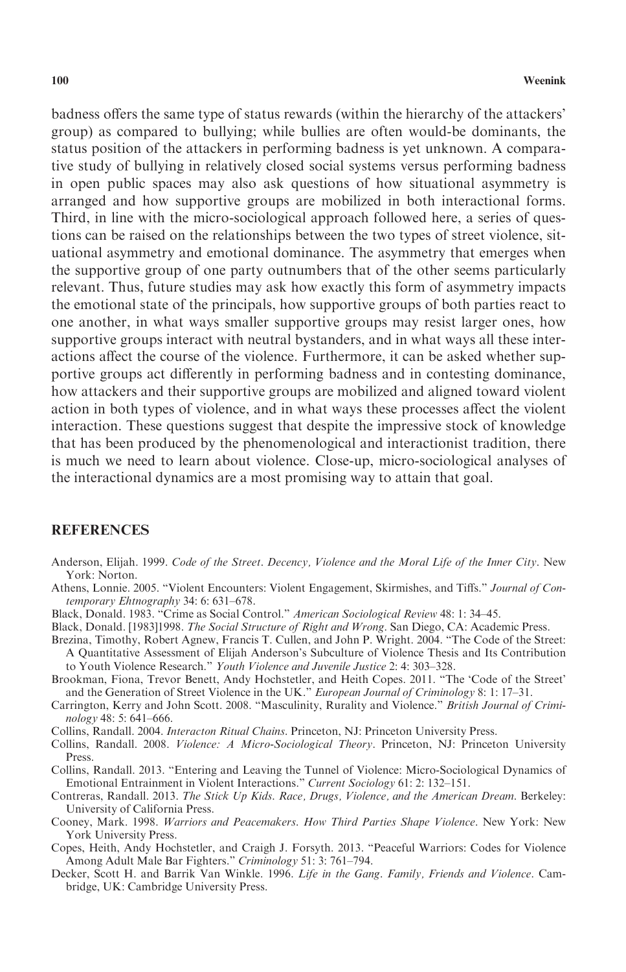badness offers the same type of status rewards (within the hierarchy of the attackers' group) as compared to bullying; while bullies are often would-be dominants, the status position of the attackers in performing badness is yet unknown. A comparative study of bullying in relatively closed social systems versus performing badness in open public spaces may also ask questions of how situational asymmetry is arranged and how supportive groups are mobilized in both interactional forms. Third, in line with the micro-sociological approach followed here, a series of questions can be raised on the relationships between the two types of street violence, situational asymmetry and emotional dominance. The asymmetry that emerges when the supportive group of one party outnumbers that of the other seems particularly relevant. Thus, future studies may ask how exactly this form of asymmetry impacts the emotional state of the principals, how supportive groups of both parties react to one another, in what ways smaller supportive groups may resist larger ones, how supportive groups interact with neutral bystanders, and in what ways all these interactions affect the course of the violence. Furthermore, it can be asked whether supportive groups act differently in performing badness and in contesting dominance, how attackers and their supportive groups are mobilized and aligned toward violent action in both types of violence, and in what ways these processes affect the violent interaction. These questions suggest that despite the impressive stock of knowledge that has been produced by the phenomenological and interactionist tradition, there is much we need to learn about violence. Close-up, micro-sociological analyses of the interactional dynamics are a most promising way to attain that goal.

### **REFERENCES**

- Anderson, Elijah. 1999. Code of the Street. Decency, Violence and the Moral Life of the Inner City. New York: Norton.
- Athens, Lonnie. 2005. "Violent Encounters: Violent Engagement, Skirmishes, and Tiffs." Journal of Contemporary Ehtnography 34: 6: 631–678.
- Black, Donald. 1983. "Crime as Social Control." American Sociological Review 48: 1: 34–45.
- Black, Donald. [1983]1998. The Social Structure of Right and Wrong. San Diego, CA: Academic Press.
- Brezina, Timothy, Robert Agnew, Francis T. Cullen, and John P. Wright. 2004. "The Code of the Street: A Quantitative Assessment of Elijah Anderson's Subculture of Violence Thesis and Its Contribution to Youth Violence Research." Youth Violence and Juvenile Justice 2: 4: 303–328.
- Brookman, Fiona, Trevor Benett, Andy Hochstetler, and Heith Copes. 2011. "The 'Code of the Street' and the Generation of Street Violence in the UK." European Journal of Criminology 8: 1: 17–31.
- Carrington, Kerry and John Scott. 2008. "Masculinity, Rurality and Violence." British Journal of Criminology 48: 5: 641–666.
- Collins, Randall. 2004. Interacton Ritual Chains. Princeton, NJ: Princeton University Press.
- Collins, Randall. 2008. Violence: A Micro-Sociological Theory. Princeton, NJ: Princeton University Press.
- Collins, Randall. 2013. "Entering and Leaving the Tunnel of Violence: Micro-Sociological Dynamics of Emotional Entrainment in Violent Interactions." Current Sociology 61: 2: 132–151.
- Contreras, Randall. 2013. The Stick Up Kids. Race, Drugs, Violence, and the American Dream. Berkeley: University of California Press.
- Cooney, Mark. 1998. Warriors and Peacemakers. How Third Parties Shape Violence. New York: New York University Press.
- Copes, Heith, Andy Hochstetler, and Craigh J. Forsyth. 2013. "Peaceful Warriors: Codes for Violence Among Adult Male Bar Fighters." Criminology 51: 3: 761–794.
- Decker, Scott H. and Barrik Van Winkle. 1996. Life in the Gang. Family, Friends and Violence. Cambridge, UK: Cambridge University Press.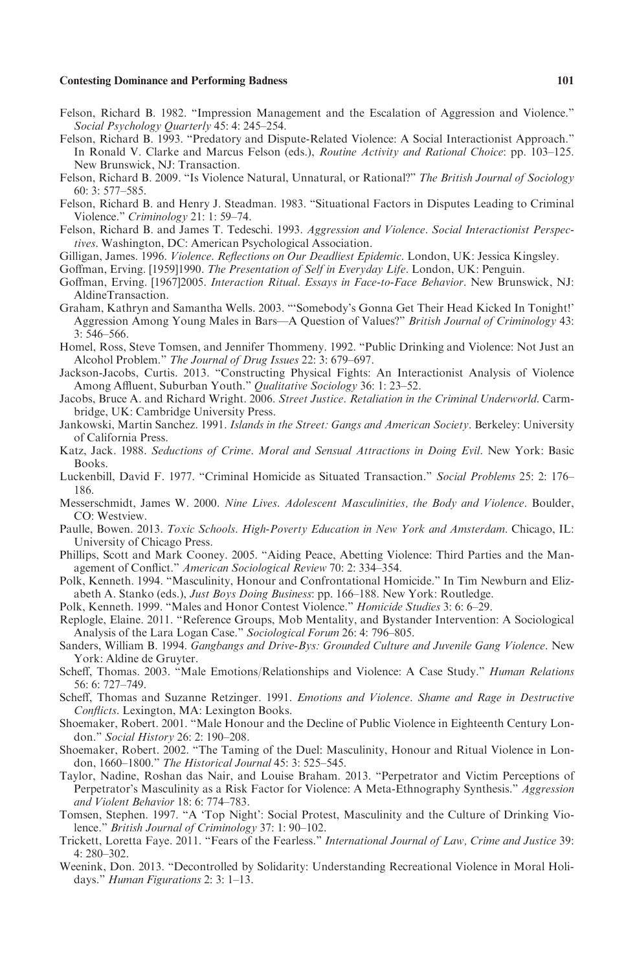- Felson, Richard B. 1982. "Impression Management and the Escalation of Aggression and Violence." Social Psychology Quarterly 45: 4: 245–254.
- Felson, Richard B. 1993. "Predatory and Dispute-Related Violence: A Social Interactionist Approach." In Ronald V. Clarke and Marcus Felson (eds.), Routine Activity and Rational Choice: pp. 103–125. New Brunswick, NJ: Transaction.
- Felson, Richard B. 2009. "Is Violence Natural, Unnatural, or Rational?" The British Journal of Sociology  $60.3:577 - 585$
- Felson, Richard B. and Henry J. Steadman. 1983. "Situational Factors in Disputes Leading to Criminal Violence." Criminology 21: 1: 59–74.
- Felson, Richard B. and James T. Tedeschi. 1993. Aggression and Violence. Social Interactionist Perspectives. Washington, DC: American Psychological Association.
- Gilligan, James. 1996. Violence. Reflections on Our Deadliest Epidemic. London, UK: Jessica Kingsley.
- Goffman, Erving. [1959]1990. The Presentation of Self in Everyday Life. London, UK: Penguin.
- Goffman, Erving. [1967]2005. Interaction Ritual. Essays in Face-to-Face Behavior. New Brunswick, NJ: AldineTransaction.
- Graham, Kathryn and Samantha Wells. 2003. "'Somebody's Gonna Get Their Head Kicked In Tonight!' Aggression Among Young Males in Bars—A Question of Values?" British Journal of Criminology 43: 3: 546–566.
- Homel, Ross, Steve Tomsen, and Jennifer Thommeny. 1992. "Public Drinking and Violence: Not Just an Alcohol Problem." The Journal of Drug Issues 22: 3: 679–697.
- Jackson-Jacobs, Curtis. 2013. "Constructing Physical Fights: An Interactionist Analysis of Violence Among Affluent, Suburban Youth." Qualitative Sociology 36: 1: 23–52.
- Jacobs, Bruce A. and Richard Wright. 2006. Street Justice. Retaliation in the Criminal Underworld. Carmbridge, UK: Cambridge University Press.
- Jankowski, Martin Sanchez. 1991. Islands in the Street: Gangs and American Society. Berkeley: University of California Press.
- Katz, Jack. 1988. Seductions of Crime. Moral and Sensual Attractions in Doing Evil. New York: Basic Books.
- Luckenbill, David F. 1977. "Criminal Homicide as Situated Transaction." Social Problems 25: 2: 176– 186.
- Messerschmidt, James W. 2000. Nine Lives. Adolescent Masculinities, the Body and Violence. Boulder, CO: Westview.
- Paulle, Bowen. 2013. Toxic Schools. High-Poverty Education in New York and Amsterdam. Chicago, IL: University of Chicago Press.
- Phillips, Scott and Mark Cooney. 2005. "Aiding Peace, Abetting Violence: Third Parties and the Management of Conflict." American Sociological Review 70: 2: 334–354.
- Polk, Kenneth. 1994. "Masculinity, Honour and Confrontational Homicide." In Tim Newburn and Elizabeth A. Stanko (eds.), Just Boys Doing Business: pp. 166–188. New York: Routledge.
- Polk, Kenneth. 1999. "Males and Honor Contest Violence." Homicide Studies 3: 6: 6–29.
- Replogle, Elaine. 2011. "Reference Groups, Mob Mentality, and Bystander Intervention: A Sociological Analysis of the Lara Logan Case." Sociological Forum 26: 4: 796–805.
- Sanders, William B. 1994. Gangbangs and Drive-Bys: Grounded Culture and Juvenile Gang Violence. New York: Aldine de Gruyter.
- Scheff, Thomas. 2003. "Male Emotions/Relationships and Violence: A Case Study." Human Relations 56: 6: 727–749.
- Scheff, Thomas and Suzanne Retzinger. 1991. Emotions and Violence. Shame and Rage in Destructive Conflicts. Lexington, MA: Lexington Books.
- Shoemaker, Robert. 2001. "Male Honour and the Decline of Public Violence in Eighteenth Century London." Social History 26: 2: 190–208.
- Shoemaker, Robert. 2002. "The Taming of the Duel: Masculinity, Honour and Ritual Violence in London, 1660–1800." The Historical Journal 45: 3: 525–545.
- Taylor, Nadine, Roshan das Nair, and Louise Braham. 2013. "Perpetrator and Victim Perceptions of Perpetrator's Masculinity as a Risk Factor for Violence: A Meta-Ethnography Synthesis." Aggression and Violent Behavior 18: 6: 774–783.
- Tomsen, Stephen. 1997. "A 'Top Night': Social Protest, Masculinity and the Culture of Drinking Violence." British Journal of Criminology 37: 1: 90–102.
- Trickett, Loretta Faye. 2011. "Fears of the Fearless." International Journal of Law, Crime and Justice 39: 4: 280–302.
- Weenink, Don. 2013. "Decontrolled by Solidarity: Understanding Recreational Violence in Moral Holidays." Human Figurations 2: 3: 1–13.